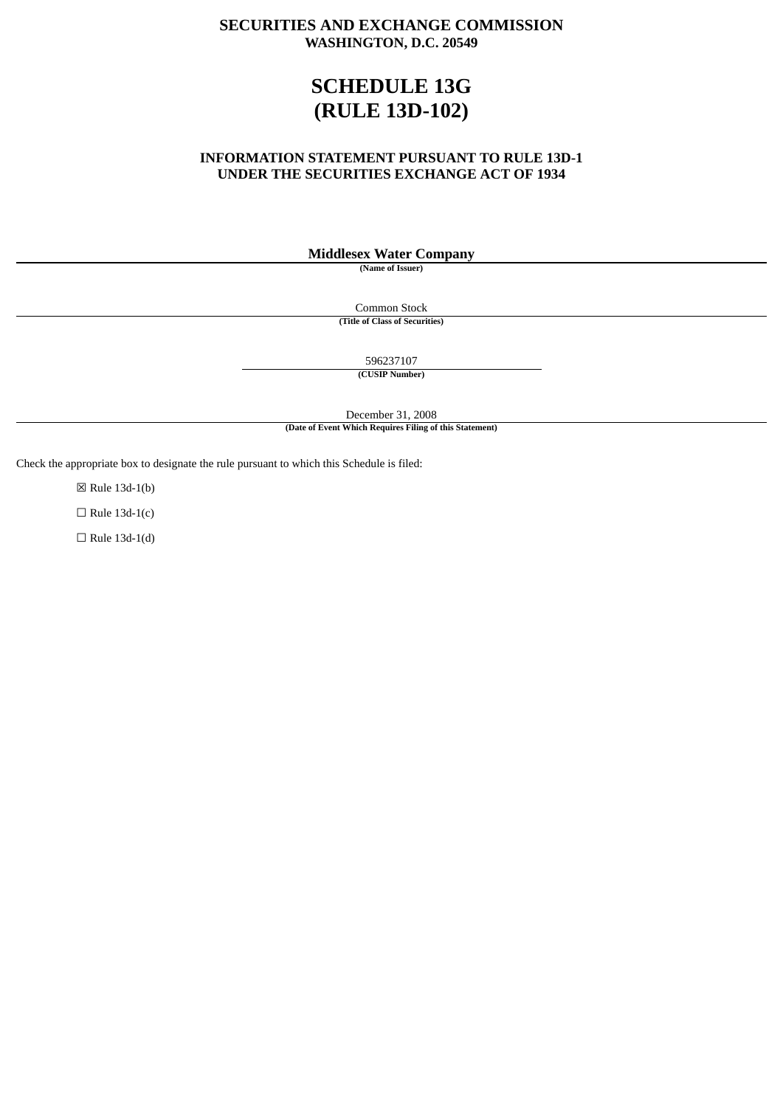# **SECURITIES AND EXCHANGE COMMISSION WASHINGTON, D.C. 20549**

# **SCHEDULE 13G (RULE 13D-102)**

# **INFORMATION STATEMENT PURSUANT TO RULE 13D-1 UNDER THE SECURITIES EXCHANGE ACT OF 1934**

# **Middlesex Water Company**

**(Name of Issuer)**

Common Stock **(Title of Class of Securities)**

596237107

**(CUSIP Number)**

December 31, 2008

**(Date of Event Which Requires Filing of this Statement)**

Check the appropriate box to designate the rule pursuant to which this Schedule is filed:

☒ Rule 13d-1(b)

 $\Box$  Rule 13d-1(c)

 $\Box$  Rule 13d-1(d)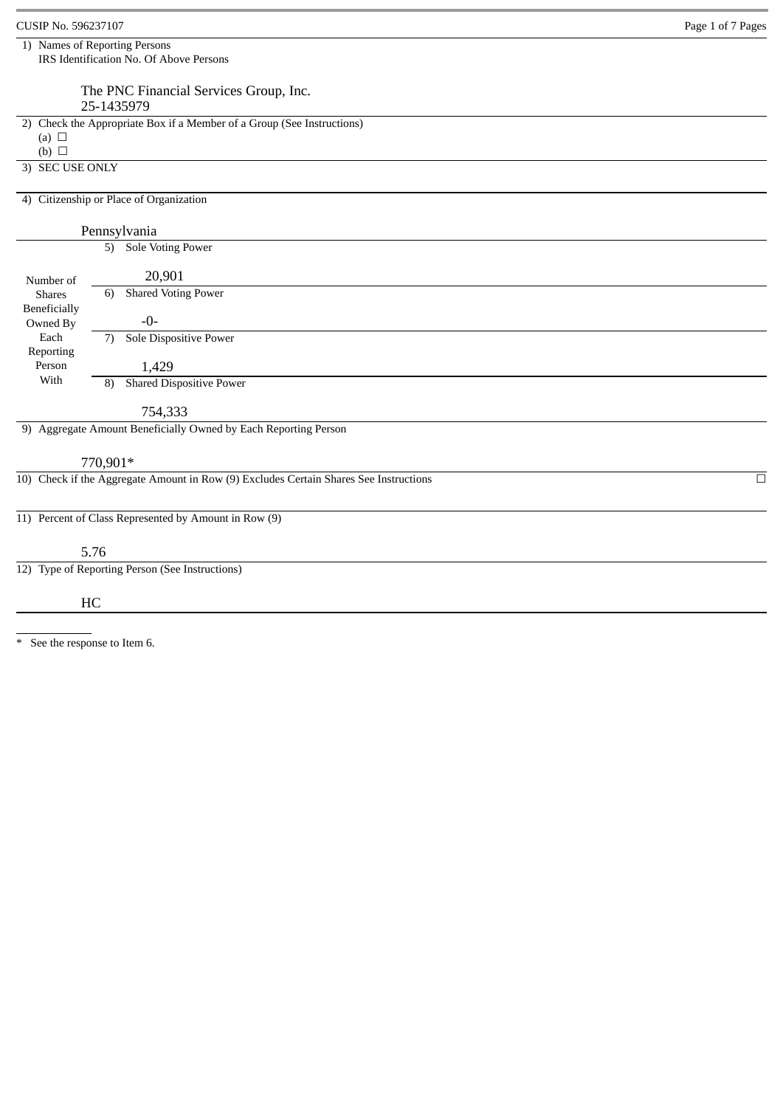| CUSIP No. 596237107        | Page 1 of 7 Pages                                                                     |        |
|----------------------------|---------------------------------------------------------------------------------------|--------|
|                            | 1) Names of Reporting Persons<br>IRS Identification No. Of Above Persons              |        |
|                            | The PNC Financial Services Group, Inc.<br>25-1435979                                  |        |
| (a) $\Box$<br>(b) $\Box$   | 2) Check the Appropriate Box if a Member of a Group (See Instructions)                |        |
| 3) SEC USE ONLY            |                                                                                       |        |
|                            | 4) Citizenship or Place of Organization                                               |        |
|                            | Pennsylvania                                                                          |        |
| Number of<br><b>Shares</b> | Sole Voting Power<br>5)                                                               |        |
|                            | 20,901<br><b>Shared Voting Power</b><br>6)                                            |        |
| Beneficially<br>Owned By   | -0-                                                                                   |        |
| Each                       | Sole Dispositive Power<br>7)                                                          |        |
| Reporting<br>Person        | 1,429                                                                                 |        |
| With                       | <b>Shared Dispositive Power</b><br>8)                                                 |        |
|                            | 754,333                                                                               |        |
|                            | 9) Aggregate Amount Beneficially Owned by Each Reporting Person                       |        |
|                            | 770,901*                                                                              |        |
|                            | 10) Check if the Aggregate Amount in Row (9) Excludes Certain Shares See Instructions | $\Box$ |
|                            | 11) Percent of Class Represented by Amount in Row (9)                                 |        |
|                            | 5.76                                                                                  |        |
|                            | 12) Type of Reporting Person (See Instructions)                                       |        |
|                            | HC                                                                                    |        |
|                            |                                                                                       |        |

\* See the response to Item 6.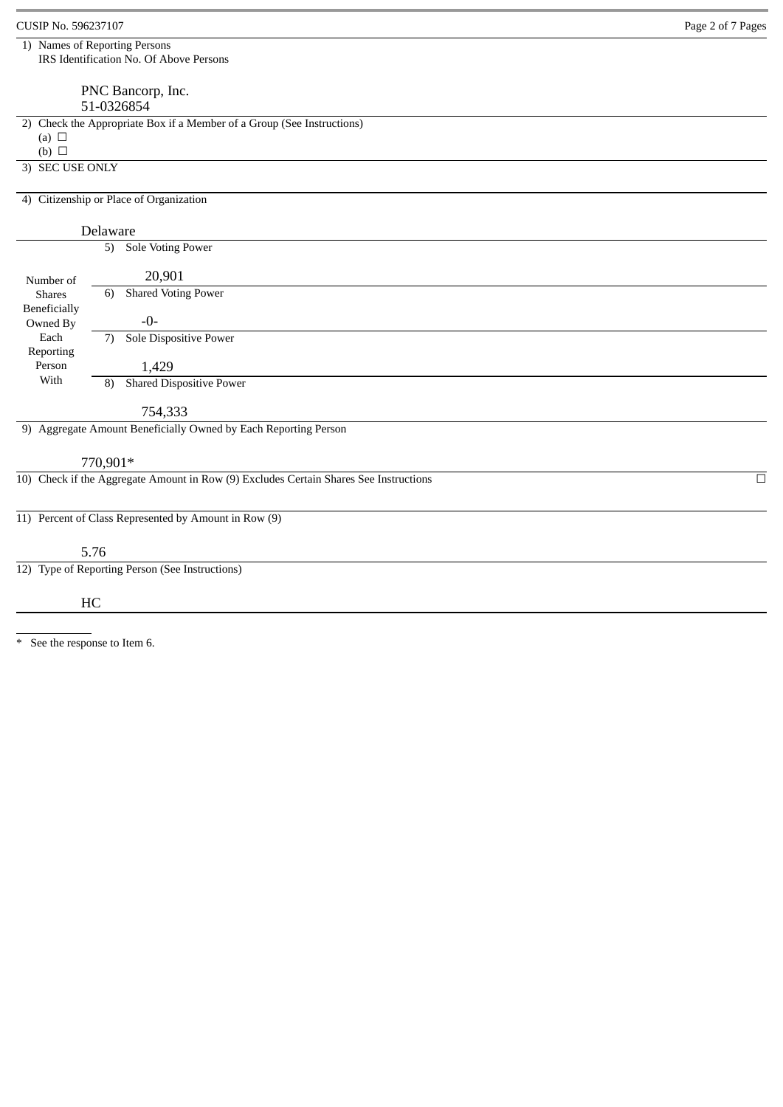| CUSIP No. 596237107 |                                                                                       | Page 2 of 7 Pages |
|---------------------|---------------------------------------------------------------------------------------|-------------------|
|                     | 1) Names of Reporting Persons<br>IRS Identification No. Of Above Persons              |                   |
|                     | PNC Bancorp, Inc.                                                                     |                   |
|                     | 51-0326854                                                                            |                   |
|                     | 2) Check the Appropriate Box if a Member of a Group (See Instructions)                |                   |
| (a) $\Box$          |                                                                                       |                   |
| $(b)$ $\square$     |                                                                                       |                   |
| 3) SEC USE ONLY     |                                                                                       |                   |
|                     | 4) Citizenship or Place of Organization                                               |                   |
|                     | Delaware                                                                              |                   |
|                     | 5) Sole Voting Power                                                                  |                   |
| Number of           | 20,901                                                                                |                   |
| <b>Shares</b>       | <b>Shared Voting Power</b><br>6)                                                      |                   |
| Beneficially        |                                                                                       |                   |
| Owned By            | $-0-$                                                                                 |                   |
| Each<br>Reporting   | Sole Dispositive Power<br>7)                                                          |                   |
| Person              | 1,429                                                                                 |                   |
| With                | <b>Shared Dispositive Power</b><br>8)                                                 |                   |
|                     | 754,333                                                                               |                   |
|                     | 9) Aggregate Amount Beneficially Owned by Each Reporting Person                       |                   |
|                     | 770,901*                                                                              |                   |
|                     | 10) Check if the Aggregate Amount in Row (9) Excludes Certain Shares See Instructions | $\Box$            |
|                     | 11) Percent of Class Represented by Amount in Row (9)                                 |                   |
|                     | 5.76                                                                                  |                   |
|                     | 12) Type of Reporting Person (See Instructions)                                       |                   |
|                     | HC                                                                                    |                   |
|                     |                                                                                       |                   |
|                     |                                                                                       |                   |

\* See the response to Item 6.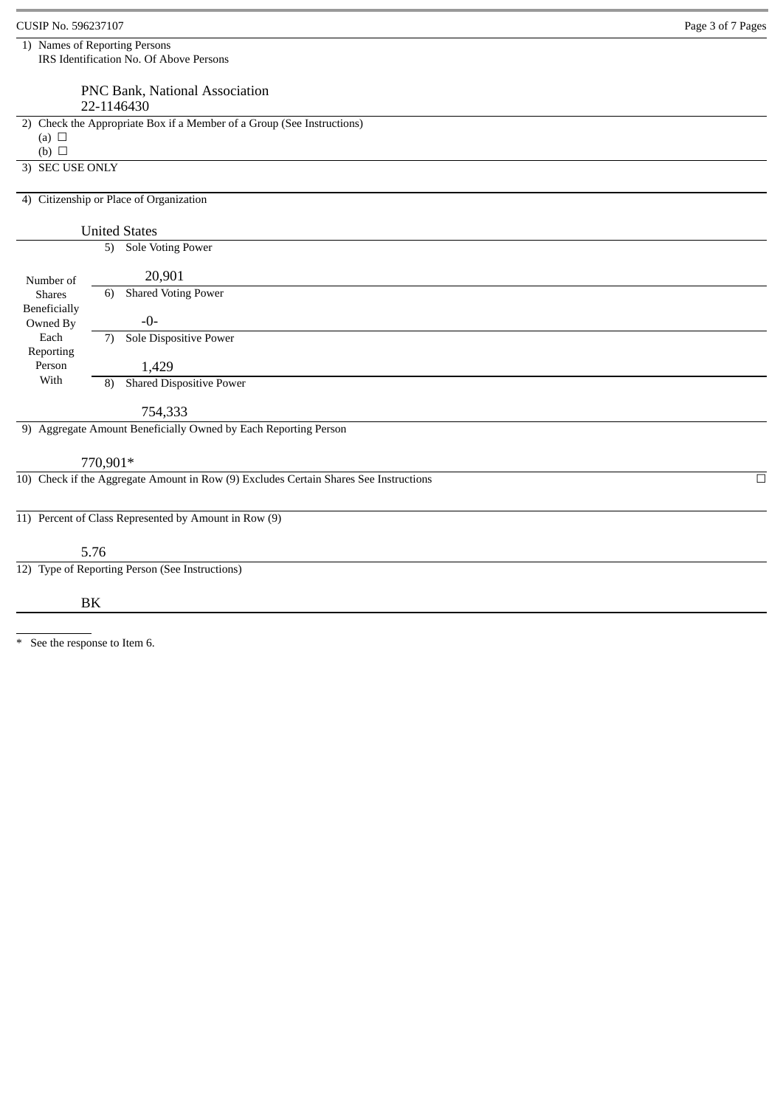| CUSIP No. 596237107        |                                                                                                   | Page 3 of 7 Pages |
|----------------------------|---------------------------------------------------------------------------------------------------|-------------------|
|                            | 1) Names of Reporting Persons                                                                     |                   |
|                            | IRS Identification No. Of Above Persons                                                           |                   |
|                            | PNC Bank, National Association                                                                    |                   |
|                            | 22-1146430                                                                                        |                   |
|                            | 2) Check the Appropriate Box if a Member of a Group (See Instructions)                            |                   |
| (a) $\Box$<br>(b) $\Box$   |                                                                                                   |                   |
| 3) SEC USE ONLY            |                                                                                                   |                   |
|                            |                                                                                                   |                   |
|                            | 4) Citizenship or Place of Organization                                                           |                   |
|                            | <b>United States</b>                                                                              |                   |
|                            | 5) Sole Voting Power                                                                              |                   |
|                            | 20,901                                                                                            |                   |
| Number of<br><b>Shares</b> | <b>Shared Voting Power</b><br>6)                                                                  |                   |
| Beneficially               |                                                                                                   |                   |
| Owned By<br>Each           | $-0-$<br>Sole Dispositive Power                                                                   |                   |
| Reporting                  | 7)                                                                                                |                   |
| Person                     | 1,429                                                                                             |                   |
| With                       | <b>Shared Dispositive Power</b><br>8)                                                             |                   |
|                            | 754,333                                                                                           |                   |
|                            | 9) Aggregate Amount Beneficially Owned by Each Reporting Person                                   |                   |
|                            |                                                                                                   |                   |
|                            | 770,901*<br>10) Check if the Aggregate Amount in Row (9) Excludes Certain Shares See Instructions | $\Box$            |
|                            |                                                                                                   |                   |
|                            | 11) Percent of Class Represented by Amount in Row (9)                                             |                   |
|                            |                                                                                                   |                   |
|                            | 5.76                                                                                              |                   |
|                            | 12) Type of Reporting Person (See Instructions)                                                   |                   |
|                            |                                                                                                   |                   |
|                            | BK                                                                                                |                   |
|                            |                                                                                                   |                   |

\* See the response to Item 6.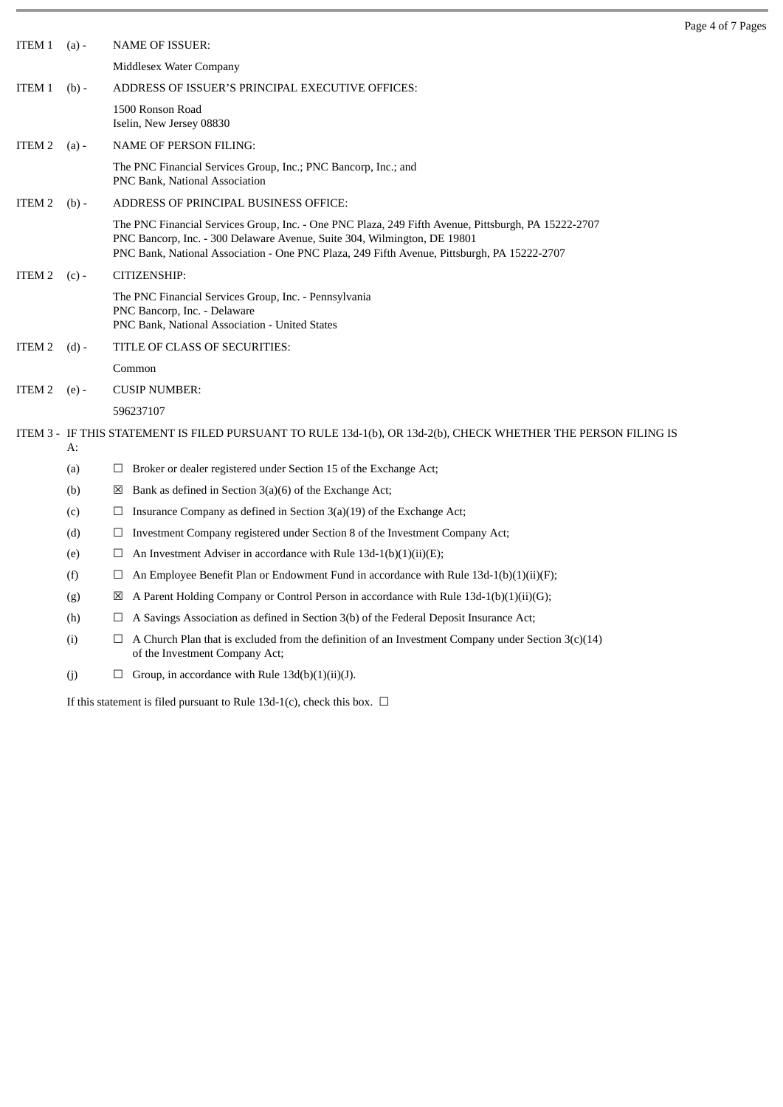| ITEM 1            | $(a) -$ | <b>NAME OF ISSUER:</b>                                                                                                                                                                                                                                                         |
|-------------------|---------|--------------------------------------------------------------------------------------------------------------------------------------------------------------------------------------------------------------------------------------------------------------------------------|
|                   |         | Middlesex Water Company                                                                                                                                                                                                                                                        |
| ITEM 1            | $(b) -$ | ADDRESS OF ISSUER'S PRINCIPAL EXECUTIVE OFFICES:                                                                                                                                                                                                                               |
|                   |         | 1500 Ronson Road<br>Iselin, New Jersey 08830                                                                                                                                                                                                                                   |
| ITEM <sub>2</sub> | $(a) -$ | <b>NAME OF PERSON FILING:</b>                                                                                                                                                                                                                                                  |
|                   |         | The PNC Financial Services Group, Inc.; PNC Bancorp, Inc.; and<br>PNC Bank, National Association                                                                                                                                                                               |
| ITEM <sub>2</sub> | $(b) -$ | ADDRESS OF PRINCIPAL BUSINESS OFFICE:                                                                                                                                                                                                                                          |
|                   |         | The PNC Financial Services Group, Inc. - One PNC Plaza, 249 Fifth Avenue, Pittsburgh, PA 15222-2707<br>PNC Bancorp, Inc. - 300 Delaware Avenue, Suite 304, Wilmington, DE 19801<br>PNC Bank, National Association - One PNC Plaza, 249 Fifth Avenue, Pittsburgh, PA 15222-2707 |
| ITEM 2            | $(c)$ - | CITIZENSHIP:                                                                                                                                                                                                                                                                   |
|                   |         | The PNC Financial Services Group, Inc. - Pennsylvania<br>PNC Bancorp, Inc. - Delaware<br>PNC Bank, National Association - United States                                                                                                                                        |
| ITEM 2            | $(d)$ - | TITLE OF CLASS OF SECURITIES:                                                                                                                                                                                                                                                  |
|                   |         | Common                                                                                                                                                                                                                                                                         |
| ITEM 2<br>$(e)$ - |         | <b>CUSIP NUMBER:</b>                                                                                                                                                                                                                                                           |
|                   |         | 596237107                                                                                                                                                                                                                                                                      |
|                   | А:      | ITEM 3 - IF THIS STATEMENT IS FILED PURSUANT TO RULE 13d-1(b), OR 13d-2(b), CHECK WHETHER THE PERSON FILING IS                                                                                                                                                                 |
|                   | (a)     | Broker or dealer registered under Section 15 of the Exchange Act;<br>⊔                                                                                                                                                                                                         |
|                   | (b)     | Bank as defined in Section 3(a)(6) of the Exchange Act;<br>$\boxtimes$                                                                                                                                                                                                         |
|                   | (c)     | Insurance Company as defined in Section $3(a)(19)$ of the Exchange Act;<br>$\Box$                                                                                                                                                                                              |
|                   | (d)     | Investment Company registered under Section 8 of the Investment Company Act;<br>Ц                                                                                                                                                                                              |
|                   | (e)     | An Investment Adviser in accordance with Rule 13d-1(b)(1)(ii)(E);<br>$\Box$                                                                                                                                                                                                    |
|                   | (f)     | An Employee Benefit Plan or Endowment Fund in accordance with Rule 13d-1(b)(1)(ii)(F);<br>⊔                                                                                                                                                                                    |
|                   | (g)     | A Parent Holding Company or Control Person in accordance with Rule 13d-1(b)(1)(ii)(G);<br>⊠                                                                                                                                                                                    |
|                   | (h)     | A Savings Association as defined in Section 3(b) of the Federal Deposit Insurance Act;<br>⊔                                                                                                                                                                                    |
|                   | (i)     | A Church Plan that is excluded from the definition of an Investment Company under Section $3(c)(14)$<br>⊔<br>of the Investment Company Act;                                                                                                                                    |
|                   | (j)     | $\Box$ Group, in accordance with Rule 13d(b)(1)(ii)(J).                                                                                                                                                                                                                        |

Page 4 of 7 Pages

If this statement is filed pursuant to Rule 13d-1(c), check this box.  $\Box$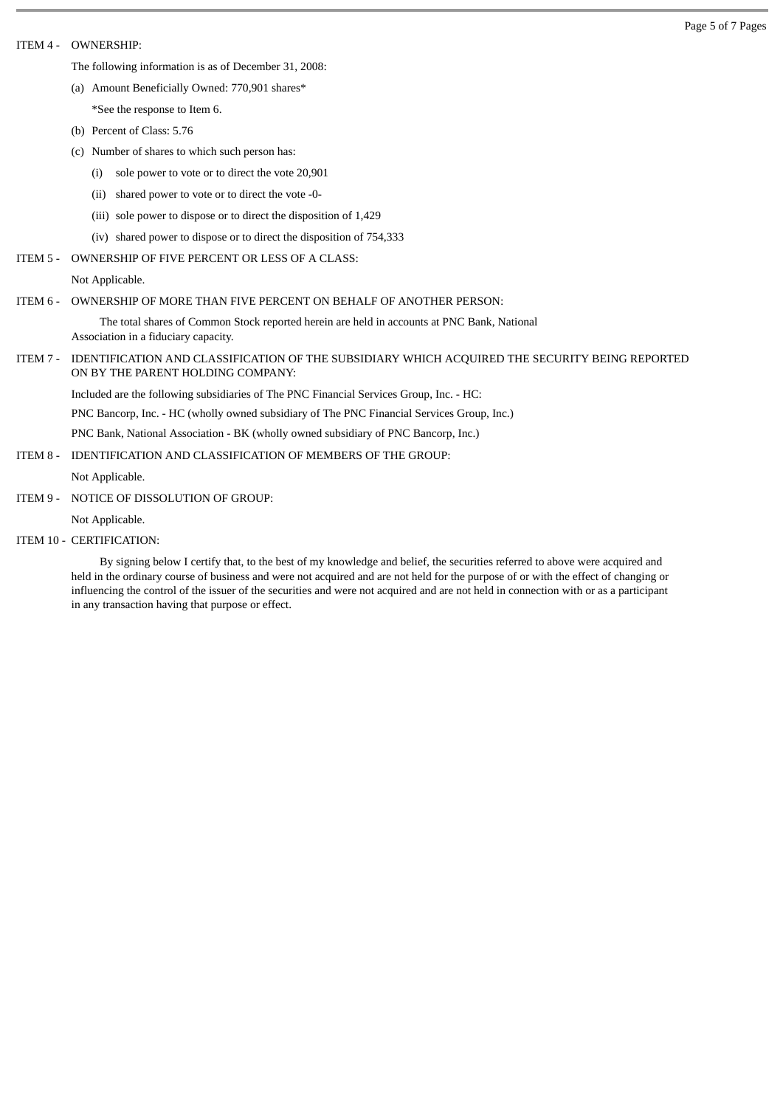### ITEM 4 - OWNERSHIP:

The following information is as of December 31, 2008:

(a) Amount Beneficially Owned: 770,901 shares\*

- \*See the response to Item 6.
- (b) Percent of Class: 5.76
- (c) Number of shares to which such person has:
	- (i) sole power to vote or to direct the vote 20,901
	- (ii) shared power to vote or to direct the vote -0-
	- (iii) sole power to dispose or to direct the disposition of 1,429
	- (iv) shared power to dispose or to direct the disposition of 754,333
- ITEM 5 OWNERSHIP OF FIVE PERCENT OR LESS OF A CLASS:

Not Applicable.

# ITEM 6 - OWNERSHIP OF MORE THAN FIVE PERCENT ON BEHALF OF ANOTHER PERSON:

The total shares of Common Stock reported herein are held in accounts at PNC Bank, National Association in a fiduciary capacity.

#### ITEM 7 - IDENTIFICATION AND CLASSIFICATION OF THE SUBSIDIARY WHICH ACQUIRED THE SECURITY BEING REPORTED ON BY THE PARENT HOLDING COMPANY:

Included are the following subsidiaries of The PNC Financial Services Group, Inc. - HC:

PNC Bancorp, Inc. - HC (wholly owned subsidiary of The PNC Financial Services Group, Inc.)

PNC Bank, National Association - BK (wholly owned subsidiary of PNC Bancorp, Inc.)

ITEM 8 - IDENTIFICATION AND CLASSIFICATION OF MEMBERS OF THE GROUP:

Not Applicable.

ITEM 9 - NOTICE OF DISSOLUTION OF GROUP:

Not Applicable.

ITEM 10 - CERTIFICATION:

By signing below I certify that, to the best of my knowledge and belief, the securities referred to above were acquired and held in the ordinary course of business and were not acquired and are not held for the purpose of or with the effect of changing or influencing the control of the issuer of the securities and were not acquired and are not held in connection with or as a participant in any transaction having that purpose or effect.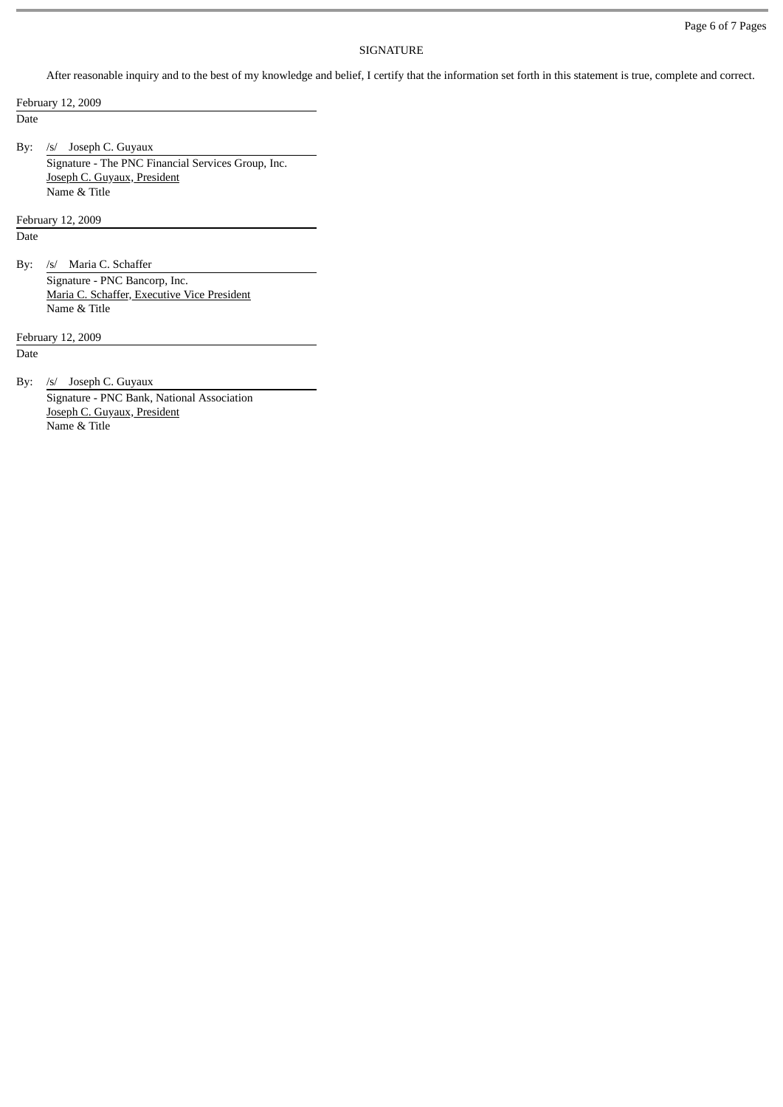# SIGNATURE

After reasonable inquiry and to the best of my knowledge and belief, I certify that the information set forth in this statement is true, complete and correct.

February 12, 2009

Date

By: /s/ Joseph C. Guyaux

Signature - The PNC Financial Services Group, Inc. Joseph C. Guyaux, President Name & Title

February 12, 2009

Date

By: /s/ Maria C. Schaffer Signature - PNC Bancorp, Inc. Maria C. Schaffer, Executive Vice President Name & Title

February 12, 2009

Date

By: /s/ Joseph C. Guyaux

Signature - PNC Bank, National Association Joseph C. Guyaux, President Name & Title